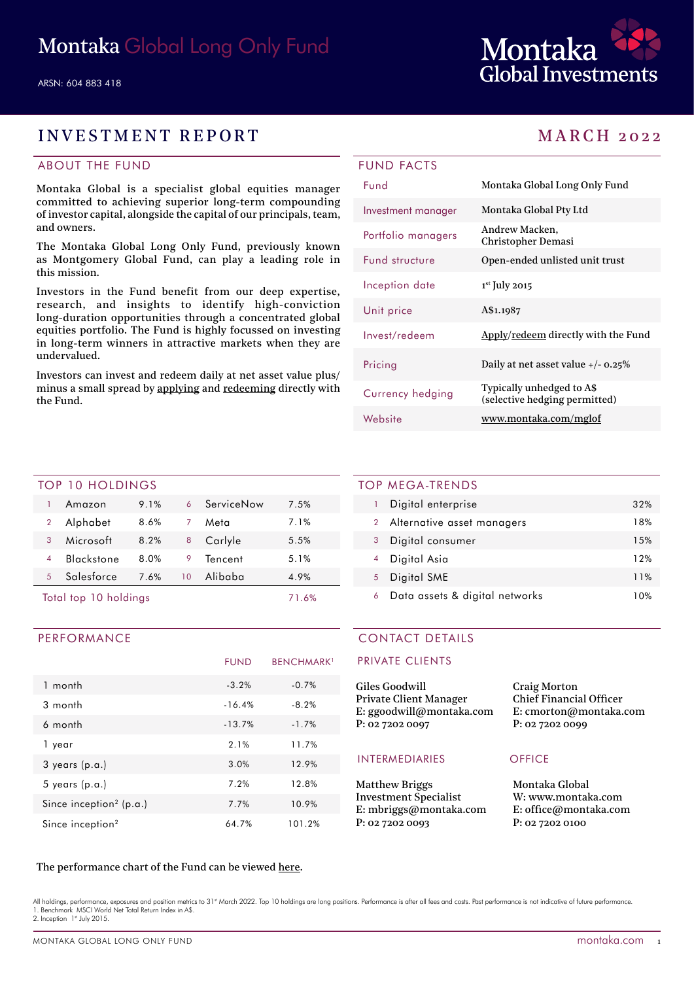

# INVESTMENT REPORT MARCH 2022

# ABOUT THE FUND

Montaka Global is a specialist global equities manager committed to achieving superior long-term compounding of investor capital, alongside the capital of our principals, team, and owners.

The Montaka Global Long Only Fund, previously known as Montgomery Global Fund, can play a leading role in this mission.

Investors in the Fund benefit from our deep expertise, research, and insights to identify high-conviction long-duration opportunities through a concentrated global equities portfolio. The Fund is highly focussed on investing in long-term winners in attractive markets when they are undervalued.

Investors can invest and redeem daily at net asset value plus/ minus a small spread by [applying](https://fundhost.olivia123.com/fundhost/montaka-global-long-only-fund.php) and [redeeming](https://fundhost.com.au/investor-login/) directly with the Fund.

| <b>FUND FACTS</b>  |                                                            |
|--------------------|------------------------------------------------------------|
| <b>Fund</b>        | Montaka Global Long Only Fund                              |
| Investment manager | Montaka Global Pty Ltd                                     |
| Portfolio managers | Andrew Macken,<br><b>Christopher Demasi</b>                |
| Fund structure     | Open-ended unlisted unit trust                             |
| Inception date     | $1st$ July 2015                                            |
| Unit price         | A\$1.1987                                                  |
| Invest/redeem      | Apply/redeem directly with the Fund                        |
| Pricing            | Daily at net asset value $+/- 0.25\%$                      |
| Currency hedging   | Typically unhedged to A\$<br>(selective hedging permitted) |
| Website            | www.montaka.com/mglof                                      |

## TOP 10 HOLDINGS

| Total top 10 holdings |                   |      |    | 71.6%      |      |
|-----------------------|-------------------|------|----|------------|------|
| 5                     | Salesforce        | 7.6% | 10 | Alibaba    | 4.9% |
| 4                     | <b>Blackstone</b> | 8.0% | 9  | Tencent    | 5.1% |
| 3                     | Microsoft         | 8.2% | 8  | Carlyle    | 5.5% |
| 2                     | Alphabet          | 8.6% | 7  | Meta       | 7.1% |
|                       | Amazon            | 9.1% | 6  | ServiceNow | 7.5% |
|                       |                   |      |    |            |      |

# PERFORMANCE

|                                     | <b>FUND</b> | <b>BENCHMARK</b> <sup>1</sup> |
|-------------------------------------|-------------|-------------------------------|
| 1 month                             | $-3.2%$     | $-0.7%$                       |
| $3$ month                           | $-16.4%$    | $-8.2%$                       |
| 6 month                             | $-13.7%$    | $-1.7%$                       |
| 1 year                              | 2.1%        | 11.7%                         |
| $3$ years (p.a.)                    | 3.0%        | 12.9%                         |
| $5$ years $(p.a.)$                  | 7.2%        | 12.8%                         |
| Since inception <sup>2</sup> (p.a.) | 7.7%        | 10.9%                         |
| Since inception <sup>2</sup>        | 64.7%       | 101.2%                        |

## TOP MEGA-TRENDS

| 1 | Digital enterprise             | 32%  |
|---|--------------------------------|------|
| 2 | Alternative asset managers     | 18%  |
| 3 | Digital consumer               | 15%  |
|   | Digital Asia                   | 12%  |
| 5 | Digital SME                    | 11%  |
| 6 | Data assets & digital networks | 1 በ% |

# CONTACT DETAILS

## PRIVATE CLIENTS

| Giles Goodwill           | <b>Craig Morton</b>            |
|--------------------------|--------------------------------|
| Private Client Manager   | <b>Chief Financial Officer</b> |
| E: ggoodwill@montaka.com | E: cmorton@montaka.co          |
| P: 02 7202 0097          | P: 0272020099                  |
|                          |                                |

# INTERMEDIARIES OFFICE

Matthew Briggs Investment Specialist E: mbriggs@montaka.com P: 02 7202 0093

E: cmorton@montaka.com

Montaka Global W: [www.montaka.com](http://www.montaka.com) E: office@montaka.com P: 02 7202 0100

# The performance chart of the Fund can be viewed [here](https://montaka.com/our-philosophy/montaka-global-long-only/montaka-global-long-only-fund/).

All holdings, performance, exposures and position metrics to 31<sup>st</sup> March 2022. Top 10 holdings are long positions. Performance is after all fees and costs. Past performance is not indicative of future performance 1. Benchmark MSCI World Net Total Return Index in A\$. 2. Inception 1st July 2015.